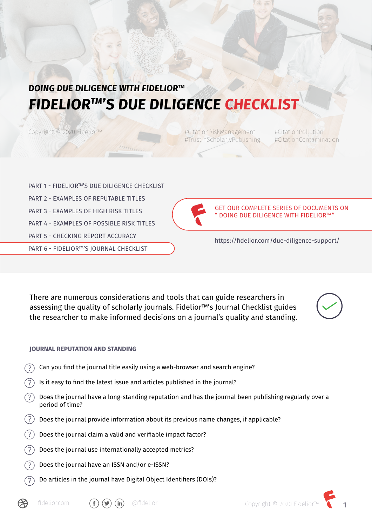# **DOING DUE DILIGENCE WITH FIDELIORTM FIDELIORTM'S DUE DILIGENCE CHECKLIST**

Copyright © 2020 Fidelior™

#CitationRiskManagement #CitationPollution #TrustInScholarlyPublishing #CitationContamination

PART 1 - FIDELIOR™'S DUE DILIGENCE CHECKLIST PART 2 - EXAMPLES OF REPUTABLE TITLES PART 3 - EXAMPLES OF HIGH RISK TITLES PART 4 - FXAMPLES OF POSSIBLE RISK TITLES PART 5 - CHECKING REPORT ACCURACY PART 6 - FIDELIOR™'S JOURNAL CHECKLIST



GET OUR COMPLETE SERIES OF DOCUMENTS ON " DOING DUE DILIGENCE WITH FIDELIORTM "

https://fidelior.com/due-diligence-support/

There are numerous considerations and tools that can guide researchers in assessing the quality of scholarly journals. Fidelior™'s Journal Checklist guides the researcher to make informed decisions on a journal's quality and standing.

# **JOURNAL REPUTATION AND STANDING**

- Can you find the journal title easily using a web-browser and search engine?  $(2)$
- Is it easy to find the latest issue and articles published in the journal?
- $($  ? Does the journal have a long-standing reputation and has the journal been publishing regularly over a period of time?
- $(?)$ Does the journal provide information about its previous name changes, if applicable?
- Does the journal claim a valid and verifiable impact factor?
- $(7)$ Does the journal use internationally accepted metrics?
- Does the journal have an ISSN and/or e-ISSN?
- Do articles in the journal have Digital Object Identifiers (DOIs)?







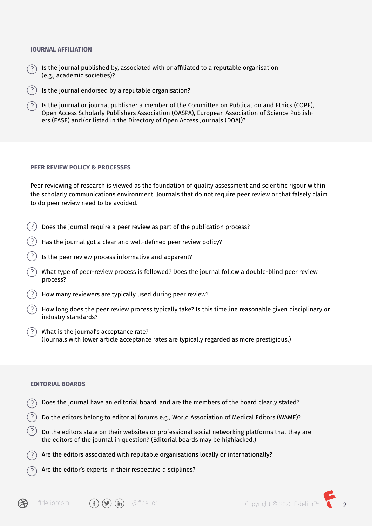#### **JOURNAL AFFILIATION**

- Is the journal published by, associated with or affiliated to a reputable organisation (e.g., academic societies)?
- Is the journal endorsed by a reputable organisation?
- Is the journal or journal publisher a member of the Committee on Publication and Ethics (COPE), Open Access Scholarly Publishers Association (OASPA), European Association of Science Publishers (EASE) and/or listed in the Directory of Open Access Journals (DOAJ)?

#### **PEER REVIEW POLICY & PROCESSES**

Peer reviewing of research is viewed as the foundation of quality assessment and scientific rigour within the scholarly communications environment. Journals that do not require peer review or that falsely claim to do peer review need to be avoided.

- $($  ?  $)$ Does the journal require a peer review as part of the publication process?
- Has the journal got a clear and well-defined peer review policy?
- Is the peer review process informative and apparent?
- What type of peer-review process is followed? Does the journal follow a double-blind peer review process?
- How many reviewers are typically used during peer review?
- How long does the peer review process typically take? Is this timeline reasonable given disciplinary or industry standards?
- What is the journal's acceptance rate? (Journals with lower article acceptance rates are typically regarded as more prestigious.)

#### **EDITORIAL BOARDS**

- Does the journal have an editorial board, and are the members of the board clearly stated?
- Do the editors belong to editorial forums e.g., World Association of Medical Editors (WAME)?
- $\left( \,?\,\right) \,$  Do the editors state on their websites or professional social networking platforms that they are the editors of the journal in question? (Editorial boards may be highjacked.)
- Are the editors associated with reputable organisations locally or internationally?
- Are the editor's experts in their respective disciplines?





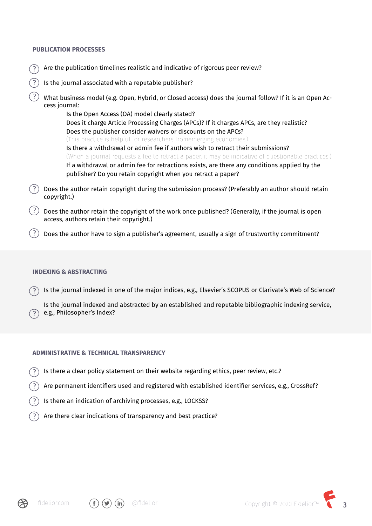#### **PUBLICATION PROCESSES**

- Are the publication timelines realistic and indicative of rigorous peer review?
- Is the journal associated with a reputable publisher?
- What business model (e.g. Open, Hybrid, or Closed access) does the journal follow? If it is an Open Access journal:

Is the Open Access (OA) model clearly stated? Does it charge Article Processing Charges (APCs)? If it charges APCs, are they realistic? Does the publisher consider waivers or discounts on the APCs? (This practice is helpful for researchers fromemerging economies.) Is there a withdrawal or admin fee if authors wish to retract their submissions? (When a journal requests a fee to retract a paper, it may be indicative of questionable practices.) If a withdrawal or admin fee for retractions exists, are there any conditions applied by the publisher? Do you retain copyright when you retract a paper?

- Does the author retain copyright during the submission process? (Preferably an author should retain copyright.)
- $\left\langle \!\! \begin{array}{l} \chi \end{array} \!\! \right\rangle$  Does the author retain the copyright of the work once published? (Generally, if the journal is open access, authors retain their copyright.)
- $\left( ? \right)$  Does the author have to sign a publisher's agreement, usually a sign of trustworthy commitment?

#### **INDEXING & ABSTRACTING**

Is the journal indexed in one of the major indices, e.g., Elsevier's SCOPUS or Clarivate's Web of Science?

Is the journal indexed and abstracted by an established and reputable bibliographic indexing service, ?) e.g., Philosopher's Index?

#### **ADMINISTRATIVE & TECHNICAL TRANSPARENCY**

- Is there a clear policy statement on their website regarding ethics, peer review, etc.?
- Are permanent identifiers used and registered with established identifier services, e.g., CrossRef?
- Is there an indication of archiving processes, e.g., LOCKSS?
- Are there clear indications of transparency and best practice?



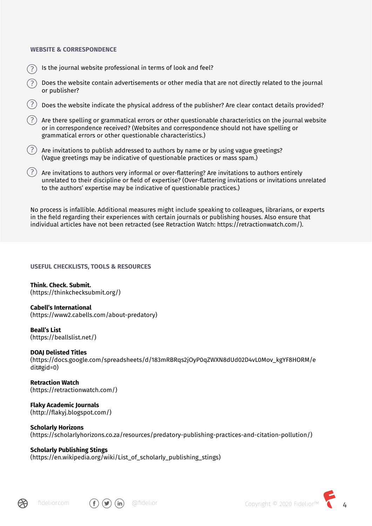#### **WEBSITE & CORRESPONDENCE**

- Is the journal website professional in terms of look and feel?
- Does the website contain advertisements or other media that are not directly related to the journal or publisher?
- Does the website indicate the physical address of the publisher? Are clear contact details provided?
- Are there spelling or grammatical errors or other questionable characteristics on the journal website or in correspondence received? (Websites and correspondence should not have spelling or grammatical errors or other questionable characteristics.)
- $(?)$  Are invitations to publish addressed to authors by name or by using vague greetings? (Vague greetings may be indicative of questionable practices or mass spam.)
- $\left( \,?\,\right) \,$  Are invitations to authors very informal or over-flattering? Are invitations to authors entirely unrelated to their discipline or field of expertise? (Over-flattering invitations or invitations unrelated to the authors' expertise may be indicative of questionable practices.)

No process is infallible. Additional measures might include speaking to colleagues, librarians, or experts in the field regarding their experiences with certain journals or publishing houses. Also ensure that individual articles have not been retracted (see Retraction Watch: https://retractionwatch.com/).

#### **USEFUL CHECKLISTS, TOOLS & RESOURCES**

**Think. Check. Submit.** (https://thinkchecksubmit.org/)

**Cabell's International**  (https://www2.cabells.com/about-predatory)

**Beall's List**  (https://beallslist.net/)

#### **DOAJ Delisted Titles**

(https://docs.google.com/spreadsheets/d/183mRBRqs2jOyP0qZWXN8dUd02D4vL0Mov\_kgYF8HORM/e dit#gid=0)

**Retraction Watch**  (https://retractionwatch.com/)

**Flaky Academic Journals**  (http://flakyj.blogspot.com/)

#### **Scholarly Horizons**

(https://scholarlyhorizons.co.za/resources/predatory-publishing-practices-and-citation-pollution/)

### **Scholarly Publishing Stings**

 $(https://en.wikipedia.org/wiki/List of scholarly publishing strings)$